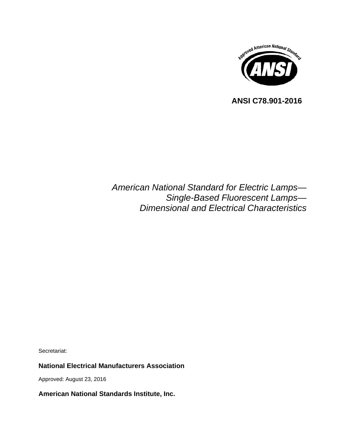

**ANSI C78.901-2016**

*American National Standard for Electric Lamps— Single-Based Fluorescent Lamps— Dimensional and Electrical Characteristics*

Secretariat:

**National Electrical Manufacturers Association**

Approved: August 23, 2016

**American National Standards Institute, Inc.**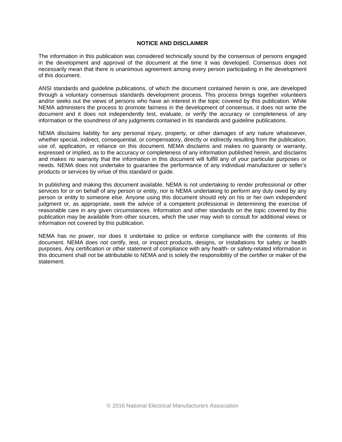### **NOTICE AND DISCLAIMER**

The information in this publication was considered technically sound by the consensus of persons engaged in the development and approval of the document at the time it was developed. Consensus does not necessarily mean that there is unanimous agreement among every person participating in the development of this document.

ANSI standards and guideline publications, of which the document contained herein is one, are developed through a voluntary consensus standards development process. This process brings together volunteers and/or seeks out the views of persons who have an interest in the topic covered by this publication. While NEMA administers the process to promote fairness in the development of consensus, it does not write the document and it does not independently test, evaluate, or verify the accuracy or completeness of any information or the soundness of any judgments contained in its standards and guideline publications.

NEMA disclaims liability for any personal injury, property, or other damages of any nature whatsoever, whether special, indirect, consequential, or compensatory, directly or indirectly resulting from the publication, use of, application, or reliance on this document. NEMA disclaims and makes no guaranty or warranty, expressed or implied, as to the accuracy or completeness of any information published herein, and disclaims and makes no warranty that the information in this document will fulfill any of your particular purposes or needs. NEMA does not undertake to guarantee the performance of any individual manufacturer or seller's products or services by virtue of this standard or guide.

In publishing and making this document available, NEMA is not undertaking to render professional or other services for or on behalf of any person or entity, nor is NEMA undertaking to perform any duty owed by any person or entity to someone else. Anyone using this document should rely on his or her own independent judgment or, as appropriate, seek the advice of a competent professional in determining the exercise of reasonable care in any given circumstances. Information and other standards on the topic covered by this publication may be available from other sources, which the user may wish to consult for additional views or information not covered by this publication.

NEMA has no power, nor does it undertake to police or enforce compliance with the contents of this document. NEMA does not certify, test, or inspect products, designs, or installations for safety or health purposes. Any certification or other statement of compliance with any health- or safety-related information in this document shall not be attributable to NEMA and is solely the responsibility of the certifier or maker of the statement.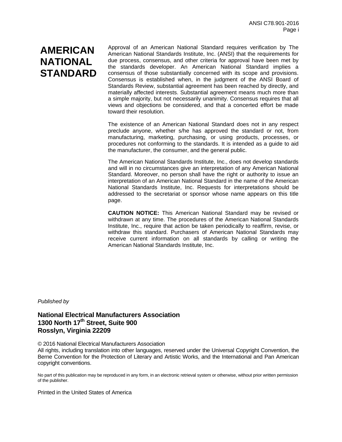# **AMERICAN NATIONAL STANDARD**

Approval of an American National Standard requires verification by The American National Standards Institute, Inc. (ANSI) that the requirements for due process, consensus, and other criteria for approval have been met by the standards developer. An American National Standard implies a consensus of those substantially concerned with its scope and provisions. Consensus is established when, in the judgment of the ANSI Board of Standards Review, substantial agreement has been reached by directly, and materially affected interests. Substantial agreement means much more than a simple majority, but not necessarily unanimity. Consensus requires that all views and objections be considered, and that a concerted effort be made toward their resolution.

The existence of an American National Standard does not in any respect preclude anyone, whether s/he has approved the standard or not, from manufacturing, marketing, purchasing, or using products, processes, or procedures not conforming to the standards. It is intended as a guide to aid the manufacturer, the consumer, and the general public.

The American National Standards Institute, Inc., does not develop standards and will in no circumstances give an interpretation of any American National Standard. Moreover, no person shall have the right or authority to issue an interpretation of an American National Standard in the name of the American National Standards Institute, Inc. Requests for interpretations should be addressed to the secretariat or sponsor whose name appears on this title page.

**CAUTION NOTICE:** This American National Standard may be revised or withdrawn at any time. The procedures of the American National Standards Institute, Inc., require that action be taken periodically to reaffirm, revise, or withdraw this standard. Purchasers of American National Standards may receive current information on all standards by calling or writing the American National Standards Institute, Inc.

#### *Published by*

# **National Electrical Manufacturers Association 1300 North 17th Street, Suite 900 Rosslyn, Virginia 22209**

© 2016 National Electrical Manufacturers Association

All rights, including translation into other languages, reserved under the Universal Copyright Convention, the Berne Convention for the Protection of Literary and Artistic Works, and the International and Pan American copyright conventions.

No part of this publication may be reproduced in any form, in an electronic retrieval system or otherwise, without prior written permission of the publisher.

Printed in the United States of America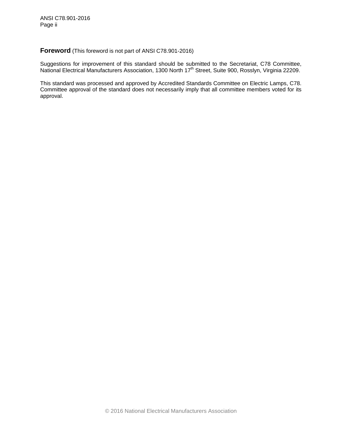## **Foreword** (This foreword is not part of ANSI C78.901-2016)

Suggestions for improvement of this standard should be submitted to the Secretariat, C78 Committee, National Electrical Manufacturers Association, 1300 North 17th Street, Suite 900, Rosslyn, Virginia 22209.

This standard was processed and approved by Accredited Standards Committee on Electric Lamps, C78. Committee approval of the standard does not necessarily imply that all committee members voted for its approval.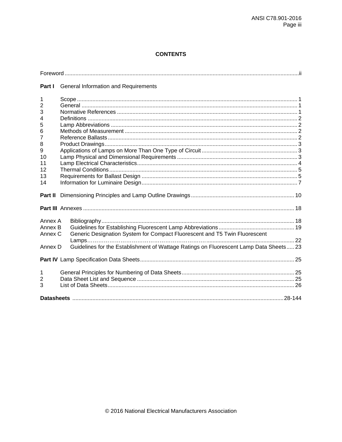## **CONTENTS**

| Part I                                                                                                         | General Information and Requirements                                                                                                                                 |  |
|----------------------------------------------------------------------------------------------------------------|----------------------------------------------------------------------------------------------------------------------------------------------------------------------|--|
| 1<br>$\overline{2}$<br>3<br>$\overline{4}$<br>5<br>6<br>$\overline{7}$<br>8<br>9<br>10<br>11<br>12<br>13<br>14 |                                                                                                                                                                      |  |
| Part II                                                                                                        |                                                                                                                                                                      |  |
|                                                                                                                |                                                                                                                                                                      |  |
| Annex A<br>Annex B<br>Annex C<br>Annex D                                                                       | Generic Designation System for Compact Fluorescent and T5 Twin Fluorescent<br>Guidelines for the Establishment of Wattage Ratings on Fluorescent Lamp Data Sheets 23 |  |
|                                                                                                                |                                                                                                                                                                      |  |
| 1<br>2<br>3                                                                                                    |                                                                                                                                                                      |  |
|                                                                                                                |                                                                                                                                                                      |  |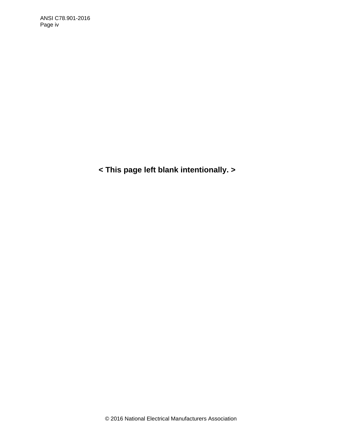**< This page left blank intentionally. >**